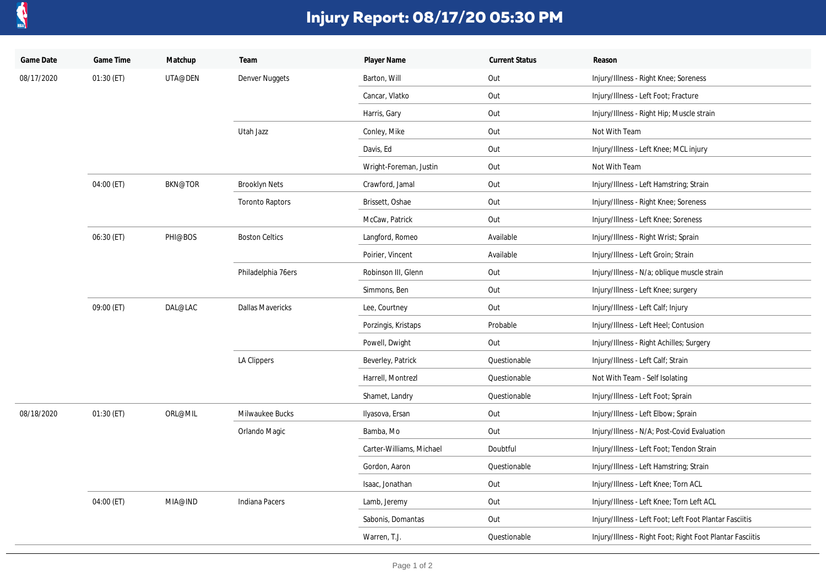

## **Injury Report: 08/17/20 05:30 PM**

| Game Date  | Game Time  | Matchup        | Team                    | Player Name              | <b>Current Status</b> | Reason                                                    |
|------------|------------|----------------|-------------------------|--------------------------|-----------------------|-----------------------------------------------------------|
| 08/17/2020 | 01:30 (ET) | UTA@DEN        | <b>Denver Nuggets</b>   | Barton, Will             | Out                   | Injury/Illness - Right Knee; Soreness                     |
|            |            |                |                         | Cancar, Vlatko           | Out                   | Injury/Illness - Left Foot; Fracture                      |
|            |            |                |                         | Harris, Gary             | Out                   | Injury/Illness - Right Hip; Muscle strain                 |
|            |            |                | Utah Jazz               | Conley, Mike             | Out                   | Not With Team                                             |
|            |            |                |                         | Davis, Ed                | Out                   | Injury/Illness - Left Knee; MCL injury                    |
|            |            |                |                         | Wright-Foreman, Justin   | Out                   | Not With Team                                             |
|            | 04:00 (ET) | <b>BKN@TOR</b> | <b>Brooklyn Nets</b>    | Crawford, Jamal          | Out                   | Injury/Illness - Left Hamstring; Strain                   |
|            |            |                | <b>Toronto Raptors</b>  | Brissett, Oshae          | Out                   | Injury/Illness - Right Knee; Soreness                     |
|            |            |                |                         | McCaw, Patrick           | Out                   | Injury/Illness - Left Knee; Soreness                      |
|            | 06:30 (ET) | PHI@BOS        | <b>Boston Celtics</b>   | Langford, Romeo          | Available             | Injury/Illness - Right Wrist; Sprain                      |
|            |            |                |                         | Poirier, Vincent         | Available             | Injury/Illness - Left Groin; Strain                       |
|            |            |                | Philadelphia 76ers      | Robinson III, Glenn      | Out                   | Injury/Illness - N/a; oblique muscle strain               |
|            |            |                |                         | Simmons, Ben             | Out                   | Injury/Illness - Left Knee; surgery                       |
|            | 09:00 (ET) | DAL@LAC        | <b>Dallas Mavericks</b> | Lee, Courtney            | Out                   | Injury/Illness - Left Calf; Injury                        |
|            |            |                |                         | Porzingis, Kristaps      | Probable              | Injury/Illness - Left Heel; Contusion                     |
|            |            |                |                         | Powell, Dwight           | Out                   | Injury/Illness - Right Achilles; Surgery                  |
|            |            |                | LA Clippers             | Beverley, Patrick        | Questionable          | Injury/Illness - Left Calf; Strain                        |
|            |            |                |                         | Harrell, Montrezl        | Questionable          | Not With Team - Self Isolating                            |
|            |            |                |                         | Shamet, Landry           | Questionable          | Injury/Illness - Left Foot; Sprain                        |
| 08/18/2020 | 01:30 (ET) | ORL@MIL        | Milwaukee Bucks         | Ilyasova, Ersan          | Out                   | Injury/Illness - Left Elbow; Sprain                       |
|            |            |                | Orlando Magic           | Bamba, Mo                | Out                   | Injury/Illness - N/A; Post-Covid Evaluation               |
|            |            |                |                         | Carter-Williams, Michael | Doubtful              | Injury/Illness - Left Foot; Tendon Strain                 |
|            |            |                |                         | Gordon, Aaron            | Questionable          | Injury/Illness - Left Hamstring; Strain                   |
|            |            |                |                         | Isaac, Jonathan          | Out                   | Injury/Illness - Left Knee; Torn ACL                      |
|            | 04:00 (ET) | MIA@IND        | <b>Indiana Pacers</b>   | Lamb, Jeremy             | Out                   | Injury/Illness - Left Knee; Torn Left ACL                 |
|            |            |                |                         | Sabonis, Domantas        | Out                   | Injury/Illness - Left Foot; Left Foot Plantar Fasciitis   |
|            |            |                |                         | Warren, T.J.             | Questionable          | Injury/Illness - Right Foot; Right Foot Plantar Fasciitis |
|            |            |                |                         |                          |                       |                                                           |